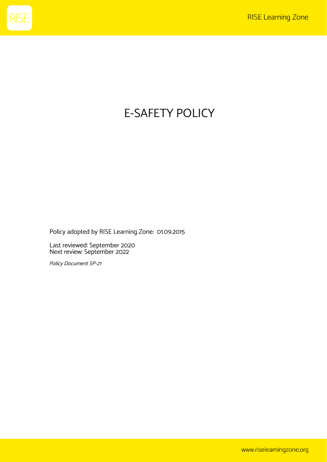

# E-SAFETY POLICY

Policy adopted by RISE Learning Zone: 01.09.2015

Last reviewed: September 2020 Next review: September 2022

Policy Document SP-21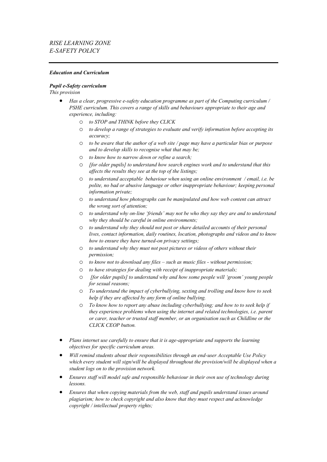#### *Education and Curriculum*

#### *Pupil e-Safety curriculum*

- *Has a clear, progressive e-safety education programme as part of the Computing curriculum / PSHE curriculum. This covers a range of skills and behaviours appropriate to their age and experience, including:*
	- o *to STOP and THINK before they CLICK*
	- o *to develop a range of strategies to evaluate and verify information before accepting its accuracy;*
	- o *to be aware that the author of a web site / page may have a particular bias or purpose and to develop skills to recognise what that may be;*
	- o *to know how to narrow down or refine a search;*
	- o *[for older pupils] to understand how search engines work and to understand that this affects the results they see at the top of the listings;*
	- o *to understand acceptable behaviour when using an online environment / email, i.e. be polite, no bad or abusive language or other inappropriate behaviour; keeping personal information private;*
	- o *to understand how photographs can be manipulated and how web content can attract the wrong sort of attention;*
	- o *to understand why on-line 'friends' may not be who they say they are and to understand why they should be careful in online environments;*
	- o *to understand why they should not post or share detailed accounts of their personal lives, contact information, daily routines, location, photographs and videos and to know how to ensure they have turned-on privacy settings;*
	- o *to understand why they must not post pictures or videos of others without their permission;*
	- o *to know not to download any files – such as music files - without permission;*
	- o *to have strategies for dealing with receipt of inappropriate materials;*
	- *[for older pupils] to understand why and how some people will 'groom' young people for sexual reasons;*
	- o *To understand the impact of cyberbullying, sexting and trolling and know how to seek help if they are affected by any form of online bullying.*
	- o *To know how to report any abuse including cyberbullying; and how to to seek help if they experience problems when using the internet and related technologies, i.e. parent or carer, teacher or trusted staff member, or an organisation such as Childline or the CLICK CEOP button.*
- *Plans internet use carefully to ensure that it is age-appropriate and supports the learning objectives for specific curriculum areas.*
- *Will remind students about their responsibilities through an end-user Acceptable Use Policy which every student will sign/will be displayed throughout the provision/will be displayed when a student logs on to the provision network.*
- *Ensures staff will model safe and responsible behaviour in their own use of technology during lessons.*
- *Ensures that when copying materials from the web, staff and pupils understand issues around plagiarism; how to check copyright and also know that they must respect and acknowledge copyright / intellectual property rights;*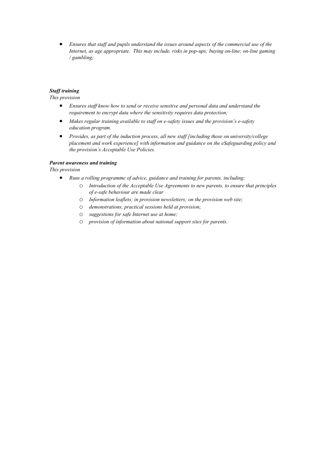• *Ensures that staff and pupils understand the issues around aspects of the commercial use of the Internet, as age appropriate. This may include, risks in pop-ups; buying on-line; on-line gaming / gambling;* 

## *Staff training*

*This provision*

- *Ensures staff know how to send or receive sensitive and personal data and understand the requirement to encrypt data where the sensitivity requires data protection;*
- *Makes regular training available to staff on e-safety issues and the provision's e-safety education program.*
- *Provides, as part of the induction process, all new staff [including those on university/college placement and work experience] with information and guidance on the eSafeguarding policy and the provision's Acceptable Use Policies.*

#### *Parent awareness and training*

- *Runs a rolling programme of advice, guidance and training for parents, including:*
	- o *Introduction of the Acceptable Use Agreements to new parents, to ensure that principles of e-safe behaviour are made clear*
	- o *Information leaflets; in provision newsletters; on the provision web site;*
	- o *demonstrations, practical sessions held at provision;*
	- o *suggestions for safe Internet use at home;*
	- o *provision of information about national support sites for parents.*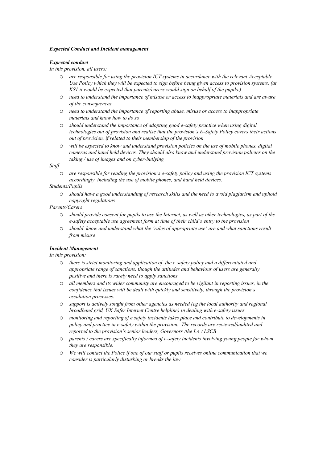#### *Expected Conduct and Incident management*

#### *Expected conduct*

*In this provision, all users:*

- o *are responsible for using the provision ICT systems in accordance with the relevant Acceptable Use Policy which they will be expected to sign before being given access to provision systems. (at KS1 it would be expected that parents/carers would sign on behalf of the pupils.)*
- o *need to understand the importance of misuse or access to inappropriate materials and are aware of the consequences*
- o *need to understand the importance of reporting abuse, misuse or access to inappropriate materials and know how to do so*
- o *should understand the importance of adopting good e-safety practice when using digital technologies out of provision and realise that the provision's E-Safety Policy covers their actions out of provision, if related to their membership of the provision*
- o *will be expected to know and understand provision policies on the use of mobile phones, digital cameras and hand held devices. They should also know and understand provision policies on the taking / use of images and on cyber-bullying*

*Staff* 

o *are responsible for reading the provision's e-safety policy and using the provision ICT systems accordingly, including the use of mobile phones, and hand held devices.* 

#### *Students/Pupils*

o *should have a good understanding of research skills and the need to avoid plagiarism and uphold copyright regulations*

#### *Parents/Carers*

- o *should provide consent for pupils to use the Internet, as well as other technologies, as part of the e-safety acceptable use agreement form at time of their child's entry to the provision*
- o *should know and understand what the 'rules of appropriate use' are and what sanctions result from misuse*

## *Incident Management*

*In this provision:*

- o *there is strict monitoring and application of the e-safety policy and a differentiated and appropriate range of sanctions, though the attitudes and behaviour of users are generally positive and there is rarely need to apply sanctions*
- o *all members and its wider community are encouraged to be vigilant in reporting issues, in the confidence that issues will be dealt with quickly and sensitively, through the provision's escalation processes.*
- o *support is actively sought from other agencies as needed (eg the local authority and regional broadband grid, UK Safer Internet Centre helpline) in dealing with e-safety issues*
- o *monitoring and reporting of e safety incidents takes place and contribute to developments in policy and practice in e-safety within the provision. The records are reviewed/audited and reported to the provision's senior leaders, Governors /the LA / LSCB*
- o *parents / carers are specifically informed of e-safety incidents involving young people for whom they are responsible.*
- o *We will contact the Police if one of our staff or pupils receives online communication that we consider is particularly disturbing or breaks the law*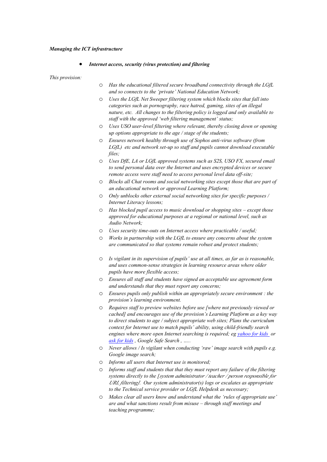#### *Managing the ICT infrastructure*

#### • *Internet access, security (virus protection) and filtering*

- o *Has the educational filtered secure broadband connectivity through the LGfL and so connects to the 'private' National Education Network;*
- o *Uses the LGfL Net Sweeper filtering system which blocks sites that fall into categories such as pornography, race hatred, gaming, sites of an illegal nature, etc. All changes to the filtering policy is logged and only available to staff with the approved 'web filtering management' status;*
- o *Uses USO user-level filtering where relevant, thereby closing down or opening up options appropriate to the age / stage of the students;*
- o *Ensures network healthy through use of Sophos anti-virus software (from LGfL) etc and network set-up so staff and pupils cannot download executable files;*
- o *Uses DfE, LA or LGfL approved systems such as S2S, USO FX, secured email to send personal data over the Internet and uses encrypted devices or secure remote access were staff need to access personal level data off-site;*
- o *Blocks all Chat rooms and social networking sites except those that are part of an educational network or approved Learning Platform;*
- o *Only unblocks other external social networking sites for specific purposes / Internet Literacy lessons;*
- o *Has blocked pupil access to music download or shopping sites – except those approved for educational purposes at a regional or national level, such as Audio Network;*
- o *Uses security time-outs on Internet access where practicable / useful;*
- o *Works in partnership with the LGfL to ensure any concerns about the system are communicated so that systems remain robust and protect students;*
- o *Is vigilant in its supervision of pupils' use at all times, as far as is reasonable, and uses common-sense strategies in learning resource areas where older pupils have more flexible access;*
- o *Ensures all staff and students have signed an acceptable use agreement form and understands that they must report any concerns;*
- o *Ensures pupils only publish within an appropriately secure environment : the provision's learning environment.*
- o *Requires staff to preview websites before use [where not previously viewed or cached] and encourages use of the provision's Learning Platform as a key way to direct students to age / subject appropriate web sites; Plans the curriculum context for Internet use to match pupils' ability, using child-friendly search engines where more open Internet searching is required; eg [yahoo for kids](http://kids.yahoo.com/) or [ask for kids](http://www.askkids.com/) , Google Safe Search , …..*
- o *Never allows / Is vigilant when conducting 'raw' image search with pupils e.g. Google image search;*
- o *Informs all users that Internet use is monitored;*
- o *Informs staff and students that that they must report any failure of the filtering systems directly to the [system administrator / teacher / person responsible for URL filtering]. Our system administrator(s) logs or escalates as appropriate to the Technical service provider or LGfL Helpdesk as necessary;*
- o *Makes clear all users know and understand what the 'rules of appropriate use' are and what sanctions result from misuse – through staff meetings and teaching programme;*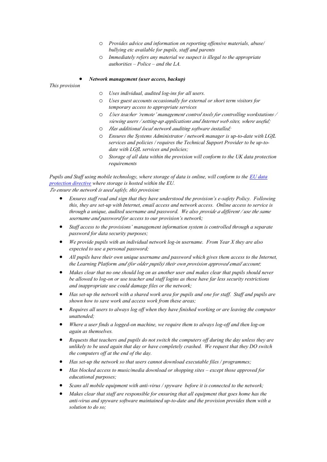- o *Provides advice and information on reporting offensive materials, abuse/ bullying etc available for pupils, staff and parents*
- o *Immediately refers any material we suspect is illegal to the appropriate authorities – Police – and the LA.*

#### • *Network management (user access, backup)*

*This provision*

- o *Uses individual, audited log-ins for all users.*
- o *Uses guest accounts occasionally for external or short term visitors for temporary access to appropriate services*
- o *Uses teacher 'remote' management control tools for controlling workstations / viewing users / setting-up applications and Internet web sites, where useful;*
- o *Has additional local network auditing software installed;*
- o *Ensures the Systems Administrator / network manager is up-to-date with LGfL services and policies / requires the Technical Support Provider to be up-todate with LGfL services and policies;*
- o *Storage of all data within the provision will conform to the UK data protection requirements*

*Pupils and Staff using mobile technology, where storage of data is online, will conform to the [EU data](http://en.wikipedia.org/wiki/Data_Protection_Directive)  [protection directive](http://en.wikipedia.org/wiki/Data_Protection_Directive) where storage is hosted within the EU. To ensure the network is used safely, this provision:*

- *Ensures staff read and sign that they have understood the provision's e-safety Policy. Following this, they are set-up with Internet, email access and network access. Online access to service is through a unique, audited username and password. We also provide a different / use the same username and password for access to our provision's network;*
- *Staff access to the provisions' management information system is controlled through a separate password for data security purposes;*
- *We provide pupils with an individual network log-in username. From Year X they are also expected to use a personal password;*
- *All pupils have their own unique username and password which gives them access to the Internet, the Learning Platform and (for older pupils) their own provision approved email account;*
- *Makes clear that no one should log on as another user and makes clear that pupils should never be allowed to log-on or use teacher and staff logins as these have far less security restrictions and inappropriate use could damage files or the network;*
- *Has set-up the network with a shared work area for pupils and one for staff. Staff and pupils are shown how to save work and access work from these areas;*
- *Requires all users to always log off when they have finished working or are leaving the computer unattended;*
- *Where a user finds a logged-on machine, we require them to always log-off and then log-on again as themselves.*
- *Requests that teachers and pupils do not switch the computers off during the day unless they are unlikely to be used again that day or have completely crashed. We request that they DO switch the computers off at the end of the day.*
- *Has set-up the network so that users cannot download executable files / programmes;*
- *Has blocked access to music/media download or shopping sites – except those approved for educational purposes;*
- *Scans all mobile equipment with anti-virus / spyware before it is connected to the network;*
- *Makes clear that staff are responsible for ensuring that all equipment that goes home has the anti-virus and spyware software maintained up-to-date and the provision provides them with a solution to do so;*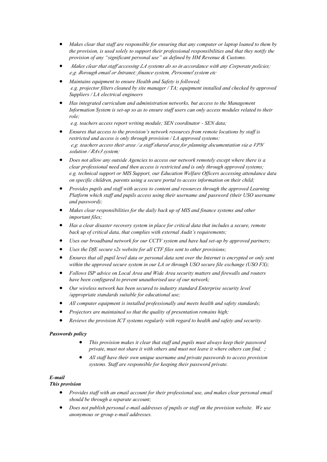- *Makes clear that staff are responsible for ensuring that any computer or laptop loaned to them by the provision, is used solely to support their professional responsibilities and that they notify the provision of any "significant personal use" as defined by HM Revenue & Customs.*
- *Makes clear that staff accessing LA systems do so in accordance with any Corporate policies; e.g. Borough email or Intranet; finance system, Personnel system etc*
- *Maintains equipment to ensure Health and Safety is followed; e.g. projector filters cleaned by site manager / TA; equipment installed and checked by approved Suppliers / LA electrical engineers*
- *Has integrated curriculum and administration networks, but access to the Management Information System is set-up so as to ensure staff users can only access modules related to their role;*

*e.g. teachers access report writing module; SEN coordinator - SEN data;*

- *Ensures that access to the provision's network resources from remote locations by staff is restricted and access is only through provision / LA approved systems: e.g. teachers access their area / a staff shared area for planning documentation via a VPN solution / RAv3 system;*
- *Does not allow any outside Agencies to access our network remotely except where there is a clear professional need and then access is restricted and is only through approved systems; e.g. technical support or MIS Support, our Education Welfare Officers accessing attendance data on specific children, parents using a secure portal to access information on their child;*
- *Provides pupils and staff with access to content and resources through the approved Learning Platform which staff and pupils access using their username and password (their USO username and password);*
- *Makes clear responsibilities for the daily back up of MIS and finance systems and other important files;*
- *Has a clear disaster recovery system in place for critical data that includes a secure, remote back up of critical data, that complies with external Audit's requirements;*
- *Uses our broadband network for our CCTV system and have had set-up by approved partners;*
- *Uses the DfE secure s2s website for all CTF files sent to other provisions;*
- *Ensures that all pupil level data or personal data sent over the Internet is encrypted or only sent within the approved secure system in our LA or through USO secure file exchange (USO FX);*
- *Follows ISP advice on Local Area and Wide Area security matters and firewalls and routers have been configured to prevent unauthorised use of our network;*
- *Our wireless network has been secured to industry standard Enterprise security level /appropriate standards suitable for educational use;*
- *All computer equipment is installed professionally and meets health and safety standards;*
- *Projectors are maintained so that the quality of presentation remains high;*
- *Reviews the provision ICT systems regularly with regard to health and safety and security.*

#### *Passwords policy*

- *This provision makes it clear that staff and pupils must always keep their password private, must not share it with others and must not leave it where others can find. ;*
- *All staff have their own unique username and private passwords to access provision systems. Staff are responsible for keeping their password private.*

# *E-mail*

- *Provides staff with an email account for their professional use, and makes clear personal email should be through a separate account;*
- *Does not publish personal e-mail addresses of pupils or staff on the provision website. We use anonymous or group e-mail addresses.*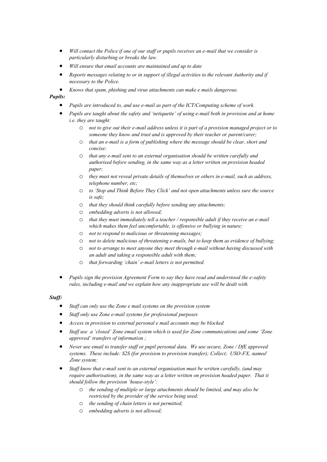- *Will contact the Police if one of our staff or pupils receives an e-mail that we consider is particularly disturbing or breaks the law.*
- *Will ensure that email accounts are maintained and up to date*
- *Reports messages relating to or in support of illegal activities to the relevant Authority and if necessary to the Police.*
- *Knows that spam, phishing and virus attachments can make e mails dangerous.*

# *Pupils:*

- *Pupils are introduced to, and use e-mail as part of the ICT/Computing scheme of work.*
- *Pupils are taught about the safety and 'netiquette' of using e-mail both in provision and at home i.e. they are taught:*
	- o *not to give out their e-mail address unless it is part of a provision managed project or to someone they know and trust and is approved by their teacher or parent/carer;*
	- o *that an e-mail is a form of publishing where the message should be clear, short and concise;*
	- o *that any e-mail sent to an external organisation should be written carefully and authorised before sending, in the same way as a letter written on provision headed paper;*
	- o *they must not reveal private details of themselves or others in e-mail, such as address, telephone number, etc;*
	- o *to 'Stop and Think Before They Click' and not open attachments unless sure the source is safe;*
	- o *that they should think carefully before sending any attachments;*
	- o *embedding adverts is not allowed;*
	- o *that they must immediately tell a teacher / responsible adult if they receive an e-mail which makes them feel uncomfortable, is offensive or bullying in nature;*
	- o *not to respond to malicious or threatening messages;*
	- o *not to delete malicious of threatening e-mails, but to keep them as evidence of bullying;*
	- o *not to arrange to meet anyone they meet through e-mail without having discussed with an adult and taking a responsible adult with them;*
	- o *that forwarding 'chain' e-mail letters is not permitted.*
- *Pupils sign the provision Agreement Form to say they have read and understood the e-safety rules, including e-mail and we explain how any inappropriate use will be dealt with.*

#### *Staff:*

- *Staff can only use the Zone e mail systems on the provision system*
- *Staff only use Zone e-mail systems for professional purposes*
- *Access in provision to external personal e mail accounts may be blocked*
- *Staff use a 'closed' Zone email system which is used for Zone communications and some 'Zone approved' transfers of information ;*
- *Never use email to transfer staff or pupil personal data. We use secure, Zone / DfE approved systems. These include: S2S (for provision to provision transfer); Collect; USO-FX, named Zone system;*
- *Staff know that e-mail sent to an external organisation must be written carefully, (and may require authorisation), in the same way as a letter written on provision headed paper. That it should follow the provision 'house-style':*
	- o *the sending of multiple or large attachments should be limited, and may also be restricted by the provider of the service being used;*
	- o *the sending of chain letters is not permitted;*
	- o *embedding adverts is not allowed;*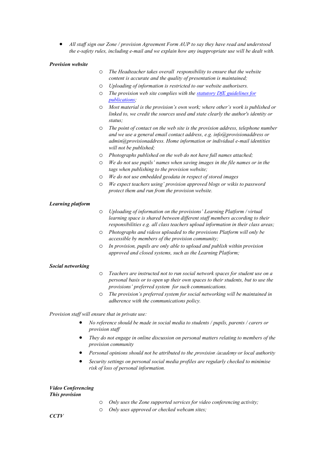• *All staff sign our Zone / provision Agreement Form AUP to say they have read and understood the e-safety rules, including e-mail and we explain how any inappropriate use will be dealt with.* 

#### *Provision website*

| The Headteacher takes overall responsibility to ensure that the website |
|-------------------------------------------------------------------------|
| content is accurate and the quality of presentation is maintained;      |

- o *Uploading of information is restricted to our website authorisers.*
- o *The provision web site complies with th[e statutory DfE guidelines for](http://www.education.gov.uk/aboutdfe/advice/f00215241/school-information)  [publications;](http://www.education.gov.uk/aboutdfe/advice/f00215241/school-information)*
- o *Most material is the provision's own work; where other's work is published or linked to, we credit the sources used and state clearly the author's identity or status;*
- o *The point of contact on the web site is the provision address, telephone number and we use a general email contact address, e.g. info@provisionaddress or admin@provisionaddress. Home information or individual e-mail identities will not be published;*
- o *Photographs published on the web do not have full names attached;*
- o *We do not use pupils' names when saving images in the file names or in the tags when publishing to the provision website;*
- o *We do not use embedded geodata in respect of stored images*
- o *We expect teachers using' provision approved blogs or wikis to password protect them and run from the provision website.*

#### *Learning platform*

- o *Uploading of information on the provisions' Learning Platform / virtual learning space is shared between different staff members according to their responsibilities e.g. all class teachers upload information in their class areas;*
- o *Photographs and videos uploaded to the provisions Platform will only be accessible by members of the provision community;*
- o *In provision, pupils are only able to upload and publish within provision approved and closed systems, such as the Learning Platform;*

#### *Social networking*

- o *Teachers are instructed not to run social network spaces for student use on a personal basis or to open up their own spaces to their students, but to use the provisions' preferred system for such communications.*
- o *The provision's preferred system for social networking will be maintained in adherence with the communications policy.*

*Provision staff will ensure that in private use:*

- *No reference should be made in social media to students / pupils, parents / carers or provision staff*
- *They do not engage in online discussion on personal matters relating to members of the provision community*
- *Personal opinions should not be attributed to the provision /academy or local authority*
- *Security settings on personal social media profiles are regularly checked to minimise risk of loss of personal information.*

# *Video Conferencing*

- o *Only uses the Zone supported services for video conferencing activity;*
- o *Only uses approved or checked webcam sites;*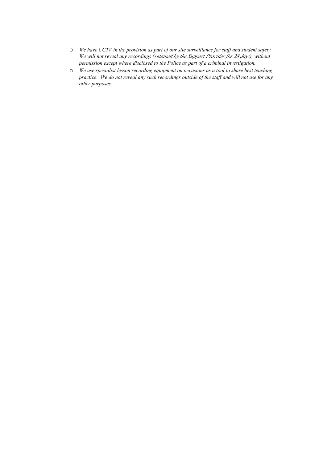- o *We have CCTV in the provision as part of our site surveillance for staff and student safety. We will not reveal any recordings (retained by the Support Provider for 28 days), without permission except where disclosed to the Police as part of a criminal investigation.*
- o *We use specialist lesson recording equipment on occasions as a tool to share best teaching practice. We do not reveal any such recordings outside of the staff and will not use for any other purposes.*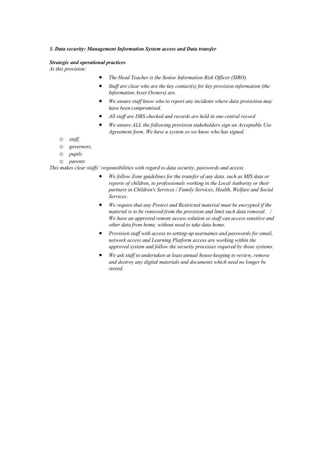#### *5. Data security: Management Information System access and Data transfer*

#### *Strategic and operational practices*

*At this provision:*

- *The Head Teacher is the Senior Information Risk Officer (SIRO).*
- *Staff are clear who are the key contact(s) for key provision information (the Information Asset Owners) are.*
- *We ensure staff know who to report any incidents where data protection may have been compromised.*
- *All staff are DBS checked and records are held in one central record*
- *We ensure ALL the following provision stakeholders sign an Acceptable Use Agreement form. We have a system so we know who has signed.*
- o *staff,*
- o *governors,*
- o *pupils*
- o *parents*

*This makes clear staffs' responsibilities with regard to data security, passwords and access.* 

- *We follow Zone guidelines for the transfer of any data, such as MIS data or reports of children, to professionals working in the Local Authority or their partners in Children's Services / Family Services, Health, Welfare and Social Services.*
- *We require that any Protect and Restricted material must be encrypted if the material is to be removed from the provision and limit such data removal. / We have an approved remote access solution so staff can access sensitive and other data from home, without need to take data home.*
- *Provision staff with access to setting-up usernames and passwords for email, network access and Learning Platform access are working within the approved system and follow the security processes required by those systems.*
- *We ask staff to undertaken at least annual house-keeping to review, remove and destroy any digital materials and documents which need no longer be stored.*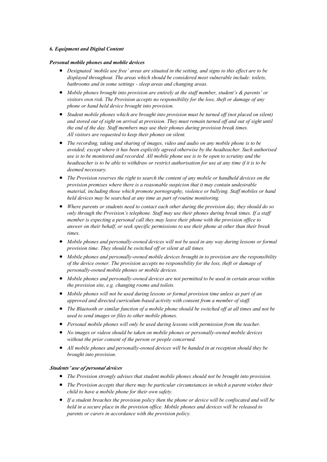#### *6. Equipment and Digital Content*

#### *Personal mobile phones and mobile devices*

- *Designated 'mobile use free' areas are situated in the setting, and signs to this effect are to be displayed throughout. The areas which should be considered most vulnerable include: toilets, bathrooms and in some settings - sleep areas and changing areas.*
- *Mobile phones brought into provision are entirely at the staff member, student's & parents' or visitors own risk. The Provision accepts no responsibility for the loss, theft or damage of any phone or hand held device brought into provision.*
- *Student mobile phones which are brought into provision must be turned off (not placed on silent) and stored out of sight on arrival at provision. They must remain turned off and out of sight until the end of the day. Staff members may use their phones during provision break times. All visitors are requested to keep their phones on silent.*
- *The recording, taking and sharing of images, video and audio on any mobile phone is to be avoided; except where it has been explicitly agreed otherwise by the headteacher. Such authorised use is to be monitored and recorded. All mobile phone use is to be open to scrutiny and the headteacher is to be able to withdraw or restrict authorisation for use at any time if it is to be deemed necessary.*
- *The Provision reserves the right to search the content of any mobile or handheld devices on the provision premises where there is a reasonable suspicion that it may contain undesirable material, including those which promote pornography, violence or bullying. Staff mobiles or hand held devices may be searched at any time as part of routine monitoring.*
- *Where parents or students need to contact each other during the provision day, they should do so only through the Provision's telephone. Staff may use their phones during break times. If a staff member is expecting a personal call they may leave their phone with the provision office to answer on their behalf, or seek specific permissions to use their phone at other than their break times.*
- *Mobile phones and personally-owned devices will not be used in any way during lessons or formal provision time. They should be switched off or silent at all times.*
- *Mobile phones and personally-owned mobile devices brought in to provision are the responsibility of the device owner. The provision accepts no responsibility for the loss, theft or damage of personally-owned mobile phones or mobile devices.*
- *Mobile phones and personally-owned devices are not permitted to be used in certain areas within the provision site, e.g. changing rooms and toilets.*
- *Mobile phones will not be used during lessons or formal provision time unless as part of an approved and directed curriculum-based activity with consent from a member of staff.*
- *The Bluetooth or similar function of a mobile phone should be switched off at all times and not be used to send images or files to other mobile phones.*
- *Personal mobile phones will only be used during lessons with permission from the teacher.*
- *No images or videos should be taken on mobile phones or personally-owned mobile devices without the prior consent of the person or people concerned.*
- *All mobile phones and personally-owned devices will be handed in at reception should they be brought into provision.*

#### *Students' use of personal devices*

- *The Provision strongly advises that student mobile phones should not be brought into provision.*
- *The Provision accepts that there may be particular circumstances in which a parent wishes their child to have a mobile phone for their own safety.*
- *If a student breaches the provision policy then the phone or device will be confiscated and will be held in a secure place in the provision office. Mobile phones and devices will be released to parents or carers in accordance with the provision policy.*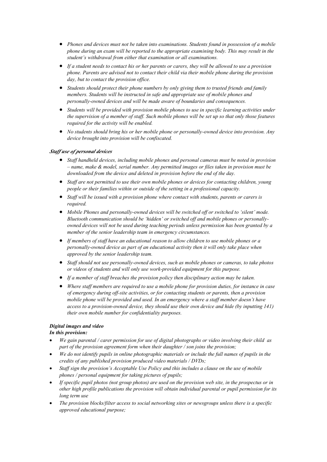- *Phones and devices must not be taken into examinations. Students found in possession of a mobile phone during an exam will be reported to the appropriate examining body. This may result in the student's withdrawal from either that examination or all examinations.*
- *If a student needs to contact his or her parents or carers, they will be allowed to use a provision phone. Parents are advised not to contact their child via their mobile phone during the provision day, but to contact the provision office.*
- *Students should protect their phone numbers by only giving them to trusted friends and family members. Students will be instructed in safe and appropriate use of mobile phones and personally-owned devices and will be made aware of boundaries and consequences.*
- *Students will be provided with provision mobile phones to use in specific learning activities under the supervision of a member of staff. Such mobile phones will be set up so that only those features required for the activity will be enabled.*
- *No students should bring his or her mobile phone or personally-owned device into provision. Any device brought into provision will be confiscated.*

#### *Staff use of personal devices*

- *Staff handheld devices, including mobile phones and personal cameras must be noted in provision – name, make & model, serial number. Any permitted images or files taken in provision must be downloaded from the device and deleted in provision before the end of the day.*
- *Staff are not permitted to use their own mobile phones or devices for contacting children, young people or their families within or outside of the setting in a professional capacity.*
- *Staff will be issued with a provision phone where contact with students, parents or carers is required.*
- *Mobile Phones and personally-owned devices will be switched off or switched to 'silent' mode. Bluetooth communication should be 'hidden' or switched off and mobile phones or personallyowned devices will not be used during teaching periods unless permission has been granted by a member of the senior leadership team in emergency circumstances.*
- *If members of staff have an educational reason to allow children to use mobile phones or a personally-owned device as part of an educational activity then it will only take place when approved by the senior leadership team.*
- *Staff should not use personally-owned devices, such as mobile phones or cameras, to take photos or videos of students and will only use work-provided equipment for this purpose.*
- *If a member of staff breaches the provision policy then disciplinary action may be taken.*
- *Where staff members are required to use a mobile phone for provision duties, for instance in case of emergency during off-site activities, or for contacting students or parents, then a provision mobile phone will be provided and used. In an emergency where a staff member doesn't have access to a provision-owned device, they should use their own device and hide (by inputting 141) their own mobile number for confidentiality purposes.*

# *Digital images and video*

# *In this provision:*

- *We gain parental / carer permission for use of digital photographs or video involving their child as part of the provision agreement form when their daughter / son joins the provision;*
- *We do not identify pupils in online photographic materials or include the full names of pupils in the credits of any published provision produced video materials / DVDs;*
- *Staff sign the provision's Acceptable Use Policy and this includes a clause on the use of mobile phones / personal equipment for taking pictures of pupils;*
- *If specific pupil photos (not group photos) are used on the provision web site, in the prospectus or in other high profile publications the provision will obtain individual parental or pupil permission for its long term use*
- *The provision blocks/filter access to social networking sites or newsgroups unless there is a specific approved educational purpose;*